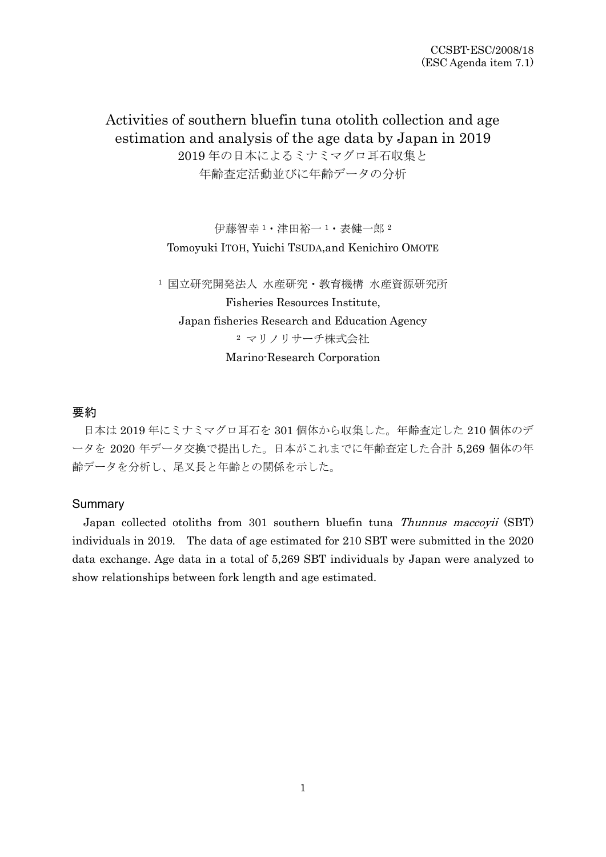Activities of southern bluefin tuna otolith collection and age estimation and analysis of the age data by Japan in 2019 2019 年の日本によるミナミマグロ耳石収集と 年齢査定活動並びに年齢データの分析

> 伊藤智幸 <sup>1</sup>・津田裕一 <sup>1</sup>・表健一郎 <sup>2</sup> Tomoyuki ITOH, Yuichi TSUDA,and Kenichiro OMOTE

<sup>1</sup> 国立研究開発法人 水産研究・教育機構 水産資源研究所 Fisheries Resources Institute, Japan fisheries Research and Education Agency <sup>2</sup> マリノリサーチ株式会社 Marino-Research Corporation

# 要約

日本は 2019 年にミナミマグロ耳石を 301 個体から収集した。年齢査定した 210 個体のデ ータを 2020 年データ交換で提出した。日本がこれまでに年齢査定した合計 5,269 個体の年 齢データを分析し、尾叉長と年齢との関係を示した。

### Summary

Japan collected otoliths from 301 southern bluefin tuna Thunnus maccoyii (SBT) individuals in 2019. The data of age estimated for 210 SBT were submitted in the 2020 data exchange. Age data in a total of 5,269 SBT individuals by Japan were analyzed to show relationships between fork length and age estimated.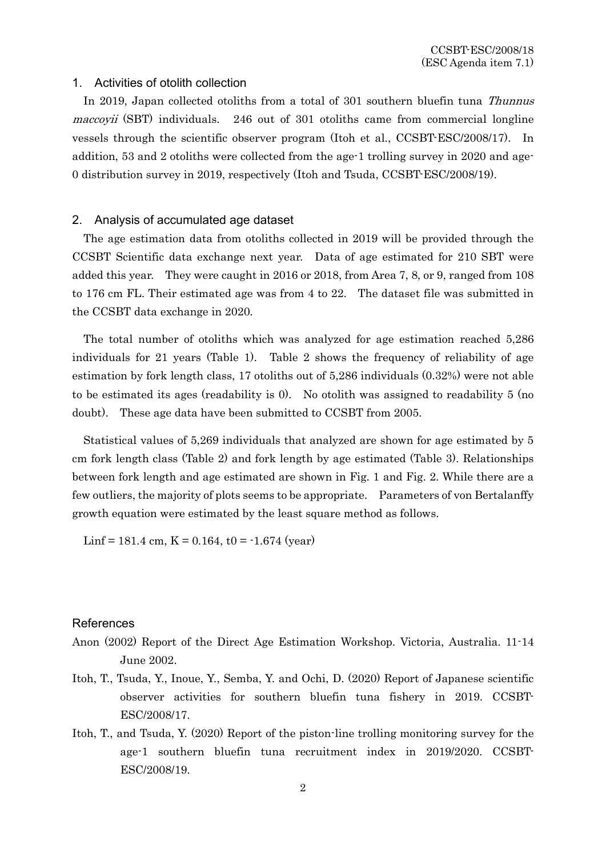## 1. Activities of otolith collection

In 2019, Japan collected otoliths from a total of 301 southern bluefin tuna Thunnus maccoyii (SBT) individuals. 246 out of 301 otoliths came from commercial longline vessels through the scientific observer program (Itoh et al., CCSBT-ESC/2008/17). In addition, 53 and 2 otoliths were collected from the age-1 trolling survey in 2020 and age-0 distribution survey in 2019, respectively (Itoh and Tsuda, CCSBT-ESC/2008/19).

### 2. Analysis of accumulated age dataset

The age estimation data from otoliths collected in 2019 will be provided through the CCSBT Scientific data exchange next year. Data of age estimated for 210 SBT were added this year. They were caught in 2016 or 2018, from Area 7, 8, or 9, ranged from 108 to 176 cm FL. Their estimated age was from 4 to 22. The dataset file was submitted in the CCSBT data exchange in 2020.

The total number of otoliths which was analyzed for age estimation reached 5,286 individuals for 21 years (Table 1). Table 2 shows the frequency of reliability of age estimation by fork length class, 17 otoliths out of 5,286 individuals (0.32%) were not able to be estimated its ages (readability is 0). No otolith was assigned to readability 5 (no doubt). These age data have been submitted to CCSBT from 2005.

Statistical values of 5,269 individuals that analyzed are shown for age estimated by 5 cm fork length class (Table 2) and fork length by age estimated (Table 3). Relationships between fork length and age estimated are shown in Fig. 1 and Fig. 2. While there are a few outliers, the majority of plots seems to be appropriate. Parameters of von Bertalanffy growth equation were estimated by the least square method as follows.

Linf = 181.4 cm,  $K = 0.164$ , t0 = -1.674 (year)

# References

- Anon (2002) Report of the Direct Age Estimation Workshop. Victoria, Australia. 11-14 June 2002.
- Itoh, T., Tsuda, Y., Inoue, Y., Semba, Y. and Ochi, D. (2020) Report of Japanese scientific observer activities for southern bluefin tuna fishery in 2019. CCSBT-ESC/2008/17.
- Itoh, T., and Tsuda, Y. (2020) Report of the piston-line trolling monitoring survey for the age-1 southern bluefin tuna recruitment index in 2019/2020. CCSBT-ESC/2008/19.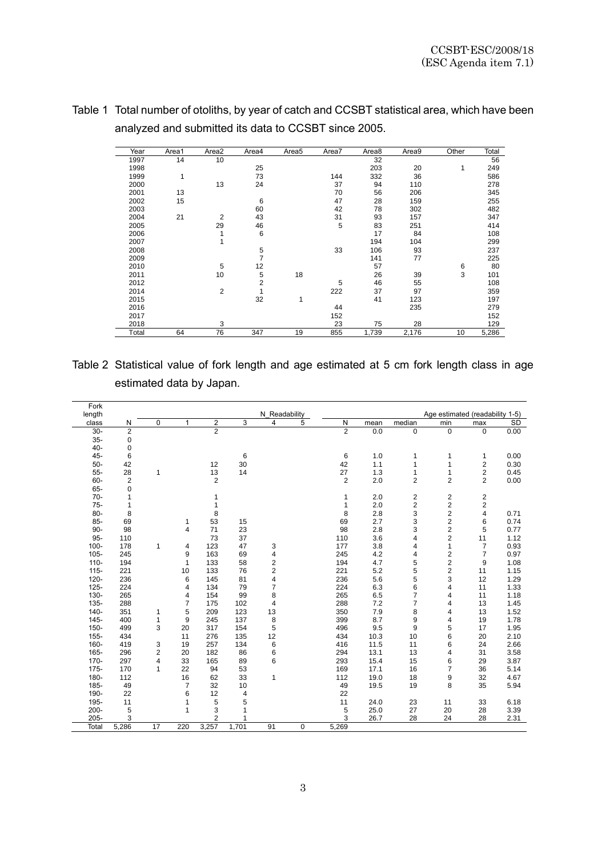| Year  | Area1 | Area2          | Area4          | Area <sub>5</sub> | Area7 | Area8 | Area9 | Other | Total |
|-------|-------|----------------|----------------|-------------------|-------|-------|-------|-------|-------|
| 1997  | 14    | 10             |                |                   |       | 32    |       |       | 56    |
| 1998  |       |                | 25             |                   |       | 203   | 20    | 1     | 249   |
| 1999  | 1     |                | 73             |                   | 144   | 332   | 36    |       | 586   |
| 2000  |       | 13             | 24             |                   | 37    | 94    | 110   |       | 278   |
| 2001  | 13    |                |                |                   | 70    | 56    | 206   |       | 345   |
| 2002  | 15    |                | 6              |                   | 47    | 28    | 159   |       | 255   |
| 2003  |       |                | 60             |                   | 42    | 78    | 302   |       | 482   |
| 2004  | 21    | 2              | 43             |                   | 31    | 93    | 157   |       | 347   |
| 2005  |       | 29             | 46             |                   | 5     | 83    | 251   |       | 414   |
| 2006  |       |                | 6              |                   |       | 17    | 84    |       | 108   |
| 2007  |       |                |                |                   |       | 194   | 104   |       | 299   |
| 2008  |       |                | 5              |                   | 33    | 106   | 93    |       | 237   |
| 2009  |       |                | 7              |                   |       | 141   | 77    |       | 225   |
| 2010  |       | 5              | 12             |                   |       | 57    |       | 6     | 80    |
| 2011  |       | 10             | 5              | 18                |       | 26    | 39    | 3     | 101   |
| 2012  |       |                | $\overline{2}$ |                   | 5     | 46    | 55    |       | 108   |
| 2014  |       | $\overline{2}$ | 1              |                   | 222   | 37    | 97    |       | 359   |
| 2015  |       |                | 32             | 1                 |       | 41    | 123   |       | 197   |
| 2016  |       |                |                |                   | 44    |       | 235   |       | 279   |
| 2017  |       |                |                |                   | 152   |       |       |       | 152   |
| 2018  |       | 3              |                |                   | 23    | 75    | 28    |       | 129   |
| Total | 64    | 76             | 347            | 19                | 855   | 1,739 | 2,176 | 10    | 5,286 |

Table 1 Total number of otoliths, by year of catch and CCSBT statistical area, which have been analyzed and submitted its data to CCSBT since 2005.

Table 2 Statistical value of fork length and age estimated at 5 cm fork length class in age estimated data by Japan.

| Fork    |                |    |              |                |       |                |   |                |      |                |                                 |                         |           |
|---------|----------------|----|--------------|----------------|-------|----------------|---|----------------|------|----------------|---------------------------------|-------------------------|-----------|
| length  |                |    |              |                |       | N Readability  |   |                |      |                | Age estimated (readability 1-5) |                         |           |
| class   | N              | 0  | $\mathbf{1}$ | 2              | 3     | 4              | 5 | N              | mean | median         | min                             | max                     | <b>SD</b> |
| $30-$   | $\overline{2}$ |    |              | $\overline{2}$ |       |                |   | $\overline{2}$ | 0.0  | 0              | 0                               | $\mathbf 0$             | 0.00      |
| $35-$   | 0              |    |              |                |       |                |   |                |      |                |                                 |                         |           |
| $40 -$  | 0              |    |              |                |       |                |   |                |      |                |                                 |                         |           |
| 45-     | 6              |    |              |                | 6     |                |   | 6              | 1.0  | 1              | 1                               | 1                       | 0.00      |
| $50-$   | 42             |    |              | 12             | 30    |                |   | 42             | 1.1  | 1              | 1                               | $\overline{\mathbf{c}}$ | 0.30      |
| $55-$   | 28             | 1  |              | 13             | 14    |                |   | 27             | 1.3  | $\mathbf{1}$   | 1                               | 2                       | 0.45      |
| 60-     | 2              |    |              | 2              |       |                |   | 2              | 2.0  | 2              | 2                               | 2                       | 0.00      |
| 65-     | 0              |    |              |                |       |                |   |                |      |                |                                 |                         |           |
| $70-$   | 1              |    |              | 1              |       |                |   | 1              | 2.0  | 2              | 2                               | 2                       |           |
| $75-$   | 1              |    |              | 1              |       |                |   | 1              | 2.0  | 2              | 2                               | 2                       |           |
| 80-     | 8              |    |              | 8              |       |                |   | 8              | 2.8  | 3              | $\overline{\mathbf{c}}$         | 4                       | 0.71      |
| $85 -$  | 69             |    | $\mathbf{1}$ | 53             | 15    |                |   | 69             | 2.7  | 3              | $\overline{2}$                  | 6                       | 0.74      |
| $90-$   | 98             |    | 4            | 71             | 23    |                |   | 98             | 2.8  | 3              | $\overline{\mathbf{c}}$         | 5                       | 0.77      |
| $95-$   | 110            |    |              | 73             | 37    |                |   | 110            | 3.6  | 4              | $\overline{\mathbf{c}}$         | 11                      | 1.12      |
| $100 -$ | 178            | 1  | 4            | 123            | 47    | 3              |   | 177            | 3.8  | 4              | $\mathbf{1}$                    | $\overline{7}$          | 0.93      |
| $105 -$ | 245            |    | 9            | 163            | 69    | 4              |   | 245            | 4.2  | 4              | $\overline{\mathbf{c}}$         | $\overline{7}$          | 0.97      |
| $110 -$ | 194            |    | 1            | 133            | 58    | 2              |   | 194            | 4.7  | 5              | $\overline{\mathbf{c}}$         | 9                       | 1.08      |
| $115 -$ | 221            |    | 10           | 133            | 76    | $\overline{2}$ |   | 221            | 5.2  | 5              | 2                               | 11                      | 1.15      |
| $120 -$ | 236            |    | 6            | 145            | 81    | 4              |   | 236            | 5.6  | 5              | 3                               | 12                      | 1.29      |
| $125 -$ | 224            |    | 4            | 134            | 79    | $\overline{7}$ |   | 224            | 6.3  | 6              | 4                               | 11                      | 1.33      |
| $130 -$ | 265            |    | 4            | 154            | 99    | 8              |   | 265            | 6.5  | 7              | 4                               | 11                      | 1.18      |
| $135 -$ | 288            |    | 7            | 175            | 102   | $\overline{4}$ |   | 288            | 7.2  | $\overline{7}$ | 4                               | 13                      | 1.45      |
| $140 -$ | 351            | 1  | 5            | 209            | 123   | 13             |   | 350            | 7.9  | 8              | 4                               | 13                      | 1.52      |
| $145 -$ | 400            | 1  | 9            | 245            | 137   | 8              |   | 399            | 8.7  | 9              | 4                               | 19                      | 1.78      |
| $150 -$ | 499            | 3  | 20           | 317            | 154   | 5              |   | 496            | 9.5  | 9              | 5                               | 17                      | 1.95      |
| $155 -$ | 434            |    | 11           | 276            | 135   | 12             |   | 434            | 10.3 | 10             | 6                               | 20                      | 2.10      |
| 160-    | 419            | 3  | 19           | 257            | 134   | 6              |   | 416            | 11.5 | 11             | 6                               | 24                      | 2.66      |
| 165-    | 296            | 2  | 20           | 182            | 86    | 6              |   | 294            | 13.1 | 13             | 4                               | 31                      | 3.58      |
| $170 -$ | 297            | 4  | 33           | 165            | 89    | 6              |   | 293            | 15.4 | 15             | 6                               | 29                      | 3.87      |
| $175 -$ | 170            | 1  | 22           | 94             | 53    |                |   | 169            | 17.1 | 16             | 7                               | 36                      | 5.14      |
| $180 -$ | 112            |    | 16           | 62             | 33    | 1              |   | 112            | 19.0 | 18             | 9                               | 32                      | 4.67      |
| 185-    | 49             |    | 7            | 32             | 10    |                |   | 49             | 19.5 | 19             | 8                               | 35                      | 5.94      |
| 190-    | 22             |    | 6            | 12             | 4     |                |   | 22             |      |                |                                 |                         |           |
| 195-    | 11             |    | 1            | 5              | 5     |                |   | 11             | 24.0 | 23             | 11                              | 33                      | 6.18      |
| $200 -$ | 5              |    | 1            | 3              | 1     |                |   | 5              | 25.0 | 27             | 20                              | 28                      | 3.39      |
| 205-    | 3              |    |              | $\overline{2}$ | 1     |                |   | 3              | 26.7 | 28             | 24                              | 28                      | 2.31      |
| Total   | 5,286          | 17 | 220          | 3,257          | 1,701 | 91             | 0 | 5,269          |      |                |                                 |                         |           |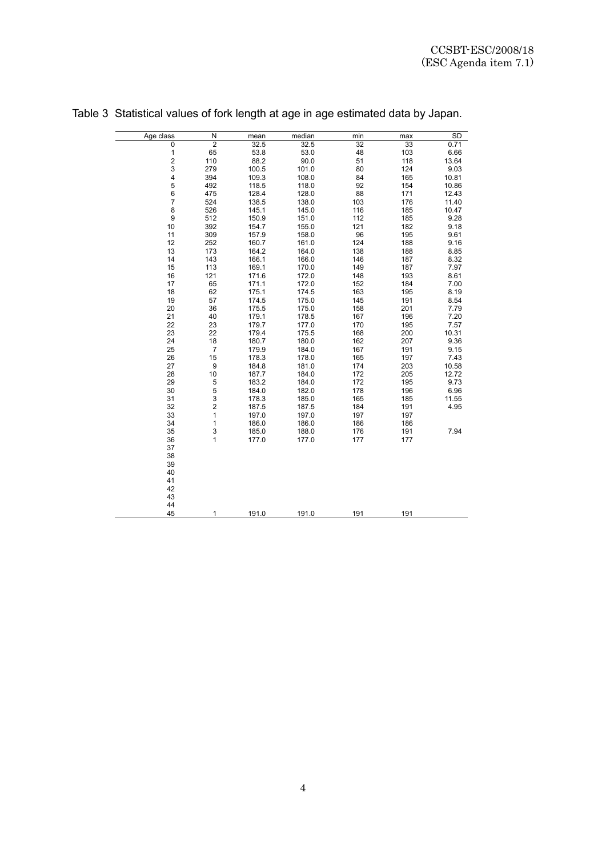| Age class    | N                | mean  | median | min | max | SD    |
|--------------|------------------|-------|--------|-----|-----|-------|
| 0            | $\overline{2}$   | 32.5  | 32.5   | 32  | 33  | 0.71  |
| $\mathbf{1}$ | 65               | 53.8  | 53.0   | 48  | 103 | 6.66  |
| 2            | 110              | 88.2  | 90.0   | 51  | 118 | 13.64 |
| 3            | 279              | 100.5 | 101.0  | 80  | 124 | 9.03  |
| 4            | 394              | 109.3 | 108.0  | 84  | 165 | 10.81 |
| 5            | 492              | 118.5 | 118.0  | 92  | 154 | 10.86 |
| 6            | 475              | 128.4 | 128.0  | 88  | 171 | 12.43 |
| 7            | 524              | 138.5 | 138.0  | 103 | 176 | 11.40 |
| 8            | 526              | 145.1 | 145.0  | 116 | 185 | 10.47 |
| 9            | 512              | 150.9 | 151.0  | 112 | 185 | 9.28  |
| 10           | 392              | 154.7 | 155.0  | 121 | 182 | 9.18  |
| 11           | 309              | 157.9 | 158.0  | 96  | 195 | 9.61  |
| 12           | 252              | 160.7 | 161.0  | 124 | 188 | 9.16  |
| 13           | 173              | 164.2 | 164.0  | 138 | 188 | 8.85  |
| 14           | 143              |       | 166.0  |     |     |       |
|              |                  | 166.1 |        | 146 | 187 | 8.32  |
| 15           | 113              | 169.1 | 170.0  | 149 | 187 | 7.97  |
| 16           | 121              | 171.6 | 172.0  | 148 | 193 | 8.61  |
| 17           | 65               | 171.1 | 172.0  | 152 | 184 | 7.00  |
| 18           | 62               | 175.1 | 174.5  | 163 | 195 | 8.19  |
| 19           | 57               | 174.5 | 175.0  | 145 | 191 | 8.54  |
| 20           | 36               | 175.5 | 175.0  | 158 | 201 | 7.79  |
| 21           | 40               | 179.1 | 178.5  | 167 | 196 | 7.20  |
| 22           | 23               | 179.7 | 177.0  | 170 | 195 | 7.57  |
| 23           | 22               | 179.4 | 175.5  | 168 | 200 | 10.31 |
| 24           | 18               | 180.7 | 180.0  | 162 | 207 | 9.36  |
| 25           | $\boldsymbol{7}$ | 179.9 | 184.0  | 167 | 191 | 9.15  |
| 26           | 15               | 178.3 | 178.0  | 165 | 197 | 7.43  |
| 27           | 9                | 184.8 | 181.0  | 174 | 203 | 10.58 |
| 28           | 10               | 187.7 | 184.0  | 172 | 205 | 12.72 |
| 29           | 5                | 183.2 | 184.0  | 172 | 195 | 9.73  |
| 30           | 5                | 184.0 | 182.0  | 178 | 196 | 6.96  |
| 31           | 3                | 178.3 | 185.0  | 165 | 185 | 11.55 |
| 32           | $\mathbf 2$      | 187.5 | 187.5  | 184 | 191 | 4.95  |
| 33           | $\mathbf{1}$     | 197.0 | 197.0  | 197 | 197 |       |
| 34           | 1                | 186.0 | 186.0  | 186 | 186 |       |
|              |                  |       |        |     |     | 7.94  |
| 35           | 3                | 185.0 | 188.0  | 176 | 191 |       |
| 36           | $\mathbf{1}$     | 177.0 | 177.0  | 177 | 177 |       |
| 37           |                  |       |        |     |     |       |
| 38           |                  |       |        |     |     |       |
| 39           |                  |       |        |     |     |       |
| 40           |                  |       |        |     |     |       |
| 41           |                  |       |        |     |     |       |
| 42           |                  |       |        |     |     |       |
| 43           |                  |       |        |     |     |       |
| 44           |                  |       |        |     |     |       |
| 45           | 1                | 191.0 | 191.0  | 191 | 191 |       |

| Table 3 Statistical values of fork length at age in age estimated data by Japan. |  |  |  |  |  |
|----------------------------------------------------------------------------------|--|--|--|--|--|
|                                                                                  |  |  |  |  |  |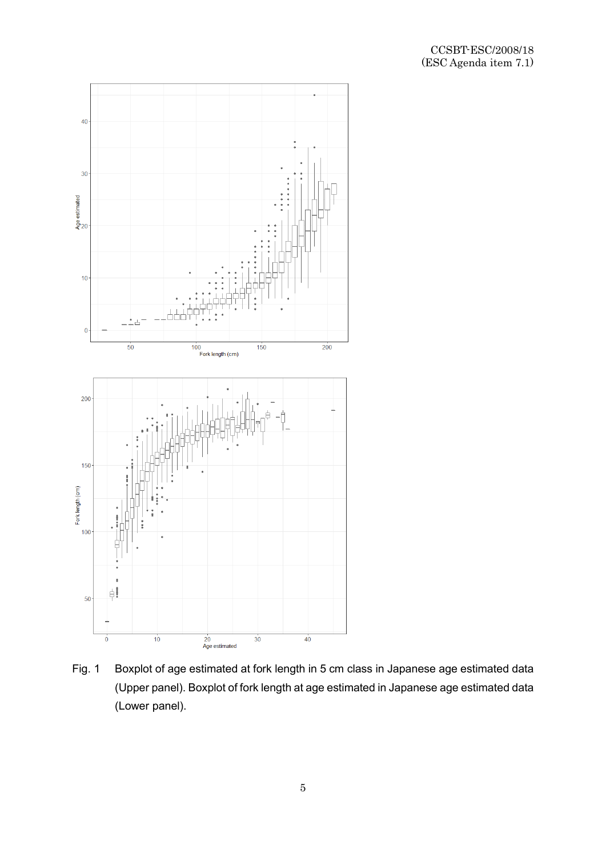

Fig. 1 Boxplot of age estimated at fork length in 5 cm class in Japanese age estimated data (Upper panel). Boxplot of fork length at age estimated in Japanese age estimated data (Lower panel).